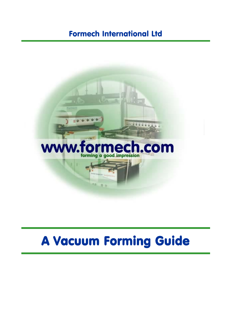## Formech International Ltd



# A Vacuum Forming Guide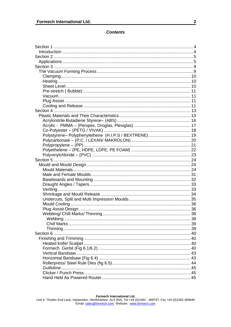## **Contents**

| Polystyrene- Polyphenylethene (H.I.P.S / BEXTRENE) 19 |  |
|-------------------------------------------------------|--|
|                                                       |  |
|                                                       |  |
|                                                       |  |
|                                                       |  |
|                                                       |  |
|                                                       |  |
|                                                       |  |
|                                                       |  |
|                                                       |  |
|                                                       |  |
|                                                       |  |
|                                                       |  |
|                                                       |  |
|                                                       |  |
|                                                       |  |
|                                                       |  |
|                                                       |  |
|                                                       |  |
|                                                       |  |
|                                                       |  |
|                                                       |  |
|                                                       |  |
|                                                       |  |
|                                                       |  |
|                                                       |  |
|                                                       |  |
|                                                       |  |
|                                                       |  |
|                                                       |  |
|                                                       |  |
|                                                       |  |
|                                                       |  |
|                                                       |  |
|                                                       |  |
|                                                       |  |
|                                                       |  |
|                                                       |  |
|                                                       |  |
|                                                       |  |
|                                                       |  |
|                                                       |  |
|                                                       |  |
|                                                       |  |
|                                                       |  |
|                                                       |  |
|                                                       |  |
|                                                       |  |

Formech International Ltd.<br>Unit 4, Thrales End Lane, Harpenden, Hertfordshire, AL5 3NS, Tel +44 (0)1582 - 469797, Fax +44 (0)1582 469646<br>Email: sales@formech.com Website: www.formech.com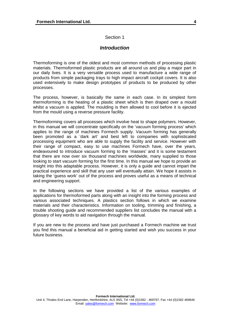## Section 1

## *Introduction*

<span id="page-3-0"></span>Thermoforming is one of the oldest and most common methods of processing plastic materials. Thermoformed plastic products are all around us and play a major part in our daily lives. It is a very versatile process used to manufacture a wide range of products from simple packaging trays to high impact aircraft cockpit covers. It is also used extensively to make design prototypes of products to be produced by other processes.

The process, however, is basically the same in each case. In its simplest form thermoforming is the heating of a plastic sheet which is then draped over a mould whilst a vacuum is applied. The moulding is then allowed to cool before it is ejected from the mould using a reverse pressure facility.

Thermoforming covers all processes which involve heat to shape polymers. However, in this manual we will concentrate specifically on the 'vacuum forming process' which applies to the range of machines Formech supply. Vacuum forming has generally been promoted as a 'dark art' and best left to companies with sophisticated processing equipment who are able to supply the facility and service. However with their range of compact, easy to use machines Formech have, over the years, endeavoured to introduce vacuum forming to the 'masses' and it is some testament that there are now over six thousand machines worldwide, many supplied to those looking to start vacuum forming for the first time. In this manual we hope to provide an insight into this adaptable process. However, it is only a guide and cannot impart the practical experience and skill that any user will eventually attain. We hope it assists in taking the 'guess work' out of the process and proves useful as a means of technical and engineering support.

In the following sections we have provided a list of the various examples of applications for thermoformed parts along with an insight into the forming process and various associated techniques. A plastics section follows in which we examine materials and their characteristics. Information on tooling, trimming and finishing, a trouble shooting guide and recommended suppliers list concludes the manual with a glossary of key words to aid navigation through the manual.

If you are new to the process and have just purchased a Formech machine we trust you find this manual a beneficial aid in getting started and wish you success in your future business.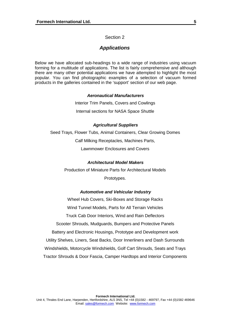## Section 2

## *Applications*

<span id="page-4-0"></span>Below we have allocated sub-headings to a wide range of industries using vacuum forming for a multitude of applications. The list is fairly comprehensive and although there are many other potential applications we have attempted to highlight the most popular. You can find photographic examples of a selection of vacuum formed products in the galleries contained in the 'support' section of our web page.

## *Aeronautical Manufacturers*

Interior Trim Panels, Covers and Cowlings Internal sections for NASA Space Shuttle

## *Agricultural Suppliers*

Seed Trays, Flower Tubs, Animal Containers, Clear Growing Domes Calf Milking Receptacles, Machines Parts, Lawnmower Enclosures and Covers

#### *Architectural Model Makers*

Production of Miniature Parts for Architectural Models Prototypes.

#### *Automotive and Vehicular Industry*

Wheel Hub Covers, Ski-Boxes and Storage Racks Wind Tunnel Models, Parts for All Terrain Vehicles Truck Cab Door Interiors, Wind and Rain Deflectors Scooter Shrouds, Mudguards, Bumpers and Protective Panels Battery and Electronic Housings, Prototype and Development work Utility Shelves, Liners, Seat Backs, Door Innerliners and Dash Surrounds Windshields, Motorcycle Windshields, Golf Cart Shrouds, Seats and Trays Tractor Shrouds & Door Fascia, Camper Hardtops and Interior Components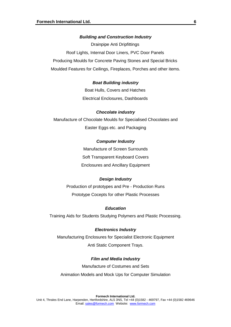#### *Building and Construction Industry*

Drainpipe Anti Dripfittings Roof Lights, Internal Door Liners, PVC Door Panels Producing Moulds for Concrete Paving Stones and Special Bricks Moulded Features for Ceilings, Fireplaces, Porches and other items.

## *Boat Building industry*

Boat Hulls, Covers and Hatches Electrical Enclosures, Dashboards

#### *Chocolate industry*

Manufacture of Chocolate Moulds for Specialised Chocolates and Easter Eggs etc. and Packaging

## *Computer Industry*

Manufacture of Screen Surrounds Soft Transparent Keyboard Covers Enclosures and Ancillary Equipment

#### *Design Industry*

Production of prototypes and Pre - Production Runs Prototype Cocepts for other Plastic Processes

#### *Education*

Training Aids for Students Studying Polymers and Plastic Processing.

## *Electronics Industry*

Manufacturing Enclosures for Specialist Electronic Equipment Anti Static Component Trays.

#### *Film and Media Industry*

Manufacture of Costumes and Sets Animation Models and Mock Ups for Computer Simulation

**Formech International Ltd.**  Unit 4, Thrales End Lane, Harpenden, Hertfordshire, AL5 3NS, Tel +44 (0)1582 - 469797, Fax +44 (0)1582 469646 Email: sales@formech.com Website: www.formech.com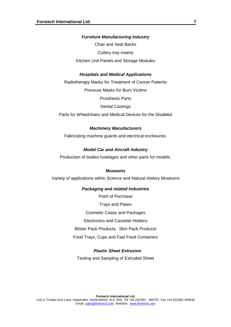## *Furniture Manufacturing Industry*

Chair and Seat Backs Cutlery tray inserts Kitchen Unit Panels and Storage Modules

## *Hospitals and Medical Applications*

Radiotherapy Masks for Treatment of Cancer Patients

Pressure Masks for Burn Victims

Prosthesis Parts

Dental Castings

Parts for Wheelchairs and Medical Devices for the Disabled

## *Machinery Manufacturers*

Fabricating machine guards and electrical enclosures.

### *Model Car and Aircraft Industry*

Production of bodies fuselages and other parts for models.

#### *Museums*

Variety of applications within Science and Natural History Museums

## *Packaging and related Industries*

Point of Purchase Trays and Plates Cosmetic Cases and Packages Electronics and Cassette Holders Blister Pack Products, Skin Pack Products Food Trays, Cups and Fast Food Containers

## *Plastic Sheet Extrusion*

Testing and Sampling of Extruded Sheet

**7**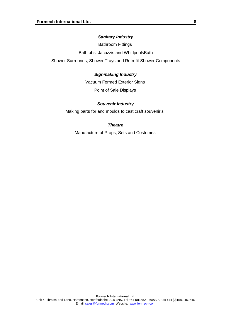## *Sanitary Industry*

Bathroom Fittings

Bathtubs, Jacuzzis and WhirlpoolsBath

Shower Surrounds, Shower Trays and Retrofit Shower Components

## *Signmaking Industry*

Vacuum Formed Exterior Signs

Point of Sale Displays

## *Souvenir Industry*

Making parts for and moulds to cast craft souvenir's.

## *Theatre*

Manufacture of Props, Sets and Costumes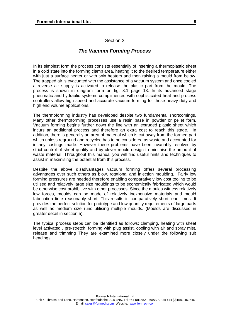## Section 3

## *The Vacuum Forming Process*

<span id="page-8-0"></span>In its simplest form the process consists essentially of inserting a thermoplastic sheet in a cold state into the forming clamp area, heating it to the desired temperature either with just a surface heater or with twin heaters and then raising a mould from below. The trapped air is evacuated with the assistance of a vacuum system and once cooled a reverse air supply is activated to release the plastic part from the mould. The process is shown in diagram form on fig. 3.1 page 13. In its advanced stage pneumatic and hydraulic systems complimented with sophisticated heat and process controllers allow high speed and accurate vacuum forming for those heavy duty and high end volume applications.

The thermoforming industry has developed despite two fundamental shortcomings. Many other thermoforming processes use a resin base in powder or pellet form. Vacuum forming begins further down the line with an extruded plastic sheet which incurs an additional process and therefore an extra cost to reach this stage. In addition, there is generally an area of material which is cut away from the formed part which unless reground and recycled has to be considered as waste and accounted for in any costings made. However these problems have been invariably resolved by strict control of sheet quality and by clever mould design to minimise the amount of waste material. Throughout this manual you will find useful hints and techniques to assist in maximising the potential from this process.

Despite the above disadvantages vacuum forming offers several processing advantages over such others as blow, rotational and injection moulding. Fairly low forming pressures are needed therefore enabling comparatively low cost tooling to be utilised and relatively large size mouldings to be economically fabricated which would be otherwise cost prohibitive with other processes. Since the moulds witness relatively low forces, moulds can be made of relatively inexpensive materials and mould fabrication time reasonably short. This results in comparatively short lead times. It provides the perfect solution for prototype and low quantity requirements of large parts as well as medium size runs utilising multiple moulds. (Moulds are discussed in greater detail in section 5).

The typical process steps can be identified as follows: clamping, heating with sheet level activated , pre-stretch, forming with plug assist, cooling with air and spray mist, release and trimming They are examined more closely under the following sub headings.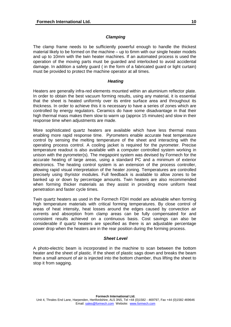## *Clamping*

<span id="page-9-0"></span>The clamp frame needs to be sufficiently powerful enough to handle the thickest material likely to be formed on the machine – up to 6mm with our single heater models and up to 10mm with the twin heater machines. If an automated process is used the operation of the moving parts must be guarded and interlocked to avoid accidental damage. In addition a safety guard ( in the form of a fabricated guard or light curtain) must be provided to protect the machine operator at all times.

## *Heating*

Heaters are generally infra-red elements mounted within an aluminium reflector plate. In order to obtain the best vacuum forming results, using any material, it is essential that the sheet is heated uniformly over its entire surface area and throughout its thickness. In order to achieve this it is necessary to have a series of zones which are controlled by energy regulators. Ceramics do have some disadvantage in that their high thermal mass makes them slow to warm up (approx 15 minutes) and slow in their response time when adjustments are made.

More sophisticated quartz heaters are available which have less thermal mass enabling more rapid response time. Pyrometers enable accurate heat temperature control by sensing the melting temperature of the sheet and interacting with the operating process control. A cooling jacket is required for the pyrometer. Precise temperature readout is also available with a computer controlled system working in unison with the pyrometer(s). The megapoint system was devised by Formech for the accurate heating of large areas, using a standard PC and a minimum of exterior electronics. The heating control system is an extension of the process controller, allowing rapid visual interpretation of the heater zoning. Temperatures are controlled precisely using thyristor modules. Full feedback is available to allow zones to be banked up or down by percentage amounts. Twin heaters are also recommended when forming thicker materials as they assist in providing more uniform heat penetration and faster cycle times.

Twin quartz heaters as used in the Formech FDH model are advisable when forming high temperature materials with critical forming temperatures. By close control of areas of heat intensity, heat losses around the edges caused by convection air currents and absorption from clamp areas can be fully compensated for and consistent results achieved on a continuous basis. Cost savings can also be considerable if quartz heaters are specified as there is an adjustable percentage power drop when the heaters are in the rear position during the forming process.

## *Sheet Level*

A photo-electric beam is incorporated in the machine to scan between the bottom heater and the sheet of plastic. If the sheet of plastic sags down and breaks the beam then a small amount of air is injected into the bottom chamber, thus lifting the sheet to stop it from sagging.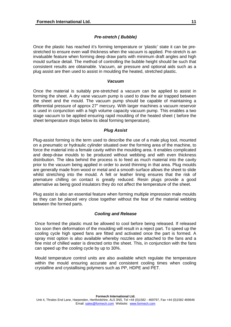## *Pre-stretch ( Bubble)*

<span id="page-10-0"></span>Once the plastic has reached it's forming temperature or 'plastic' state it can be prestretched to ensure even wall thickness when the vacuum is applied. Pre-stretch is an invaluable feature when forming deep draw parts with minimum draft angles and high mould surface detail. The method of controlling the bubble height should be such that consistent results are obtainable. Vacuum, air pressure and optional aids such as a plug assist are then used to assist in moulding the heated, stretched plastic.

## *Vacuum*

Once the material is suitably pre-stretched a vacuum can be applied to assist in forming the sheet. A dry vane vacuum pump is used to draw the air trapped between the sheet and the mould. The vacuum pump should be capable of maintaining a differential pressure of approx 27" mercury. With larger machines a vacuum reservoir is used in conjunction with a high volume capacity vacuum pump. This enables a two stage vacuum to be applied ensuring rapid moulding of the heated sheet ( before the sheet temperature drops below its ideal forming temperature).

## *Plug Assist*

Plug-assist forming is the term used to describe the use of a male plug tool, mounted on a pneumatic or hydraulic cylinder situated over the forming area of the machine, to force the material into a female cavity within the moulding area. It enables complicated and deep-draw moulds to be produced without webbing and with even thickness distribution. The idea behind the process is to feed as much material into the cavity prior to the vacuum being applied in order to avoid thinning in that area. Plug moulds are generally made from wood or metal and a smooth surface allows the sheet to slide whilst stretching into the mould. A felt or leather lining ensures that the risk of premature chilling on contact is greatly reduced. Resin plugs provide a good alternative as being good insulators they do not affect the temperature of the sheet.

Plug assist is also an essential feature when forming multiple impression male moulds as they can be placed very close together without the fear of the material webbing between the formed parts.

## *Cooling and Release*

Once formed the plastic must be allowed to cool before being released. If released too soon then deformation of the moulding will result in a reject part. To speed up the cooling cycle high speed fans are fitted and activated once the part is formed. A spray mist option is also available whereby nozzles are attached to the fans and a fine mist of chilled water is directed onto the sheet. This, in conjunction with the fans can speed up the cooling cycle by up to 30%.

Mould temperature control units are also available which regulate the temperature within the mould ensuring accurate and consistent cooling times when cooling crystalline and crystallising polymers such as PP, HDPE and PET.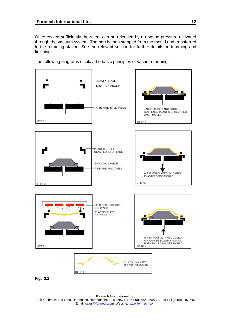Once cooled sufficiently the sheet can be released by a reverse pressure activated through the vacuum system. The part is then stripped from the mould and transferred to the trimming station. See the relevant section for further details on trimming and finishing.

The following diagrams display the basic principles of vacuum forming.



**Formech International Ltd.**  Unit 4, Thrales End Lane, Harpenden, Hertfordshire, AL5 3NS, Tel +44 (0)1582 - 469797, Fax +44 (0)1582 469646 Email: sales@formech.com Website: www.formech.com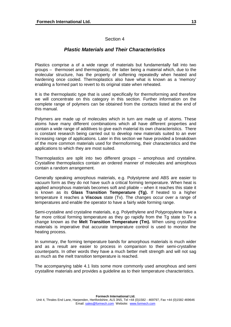## Section 4

## *Plastic Materials and Their Characteristics*

<span id="page-12-0"></span>Plastics comprise a of a wide range of materials but fundamentally fall into two groups – thermoset and thermoplastic, the latter being a material which, due to the molecular structure, has the property of softening repeatedly when heated and hardening once cooled. Thermoplastics also have what is known as a 'memory' enabling a formed part to revert to its original state when reheated.

It is the thermoplastic type that is used specifically for thermoforming and therefore we will concentrate on this category in this section. Further information on the complete range of polymers can be obtained from the contacts listed at the end of this manual.

Polymers are made up of molecules which in turn are made up of atoms. These atoms have many different combinations which all have different properties and contain a wide range of additives to give each material its own characteristics. There is constant research being carried out to develop new materials suited to an ever increasing range of applications. Later in this section we have provided a breakdown of the more common materials used for thermoforming, their characteristics and the applications to which they are most suited.

Thermoplastics are split into two different groups – amorphous and crystaline. Crystalline thermoplastics contain an ordered manner of molecules and amorphous contain a random arrangement.

Generally speaking amorphous materials, e.g. Polystyrene and ABS are easier to vacuum form as they do not have such a critical forming temperature. When heat is applied amorphous materials becomes soft and pliable – when it reaches this state it is known as its **Glass Transition Temperature (Tg).** If heated to a higher temperature it reaches a **Viscous** state (Tv). The changes occur over a range of temperatures and enable the operator to have a fairly wide forming range.

Semi-crystaline and crystaline materials, e.g. Polyethylene and Polypropylene have a far more critical forming temperature as they go rapidly from the Tg state to Tv a change known as the **Melt Transition Temperature (Tm).** When using crystalline materials is imperative that accurate temperature control is used to monitor the heating process.

In summary, the forming temperature bands for amorphous materials is much wider and as a result are easier to process in comparison to their semi-crystalline counterparts. In other words they have a much better melt strength and will not sag as much as the melt transition temperature is reached.

The accompanying table 4.1 lists some more commonly used amorphous and semi crystalline materials and provides a guideline as to their temperature characteristics.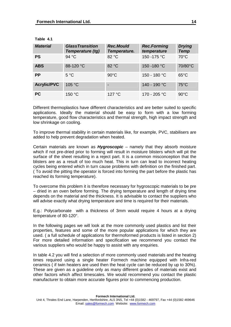| <b>Material</b>    | <b>GlassTransition</b><br>Temperature (tg) | <b>Rec.Mould</b><br>Temperature. | <b>Rec.Forming</b><br>temperature | <b>Drying</b><br><b>Temp</b> |
|--------------------|--------------------------------------------|----------------------------------|-----------------------------------|------------------------------|
| <b>PS</b>          | 94 °C                                      | 82 °C                            | 150 - 175 °C                      | $70^{\circ}$ C               |
| <b>ABS</b>         | 88-120 °C                                  | 82 °C                            | 150 - 180 °C                      | 70/80°C                      |
| <b>PP</b>          | $5^{\circ}$ C                              | $90^{\circ}$ C                   | 150 - 180 °C                      | $65^{\circ}$ C               |
| <b>Acrylic/PVC</b> | 105 °C                                     |                                  | 140 - 190 °C                      | $75^{\circ}$ C               |
| <b>PC</b>          | 150 °C                                     | 127 °C                           | 170 - 205 °C                      | $90^{\circ}$ C               |

**Table 4.1** 

Different thermoplastics have different characteristics and are better suited to specific applications. Ideally the material should be easy to form with a low forming temperature, good flow characteristics and thermal strength, high impact strength and low shrinkage on cooling.

To improve thermal stability in certain materials like, for example, PVC, stabilisers are added to help prevent degradation when heated.

Certain materials are known as *Hygroscopic* – namely that they absorb moisture which if not pre-dried prior to forming will result in moisture blisters which will pit the surface of the sheet resulting in a reject part. It is a common misconception that the blisters are as a result of too much heat. This in turn can lead to incorrect heating cycles being entered which in turn cause problems with definition on the finished part. ( To avoid the pitting the operator is forced into forming the part before the plastic has reached its forming temperature).

To overcome this problem it is therefore necessary for hygroscopic materials to be pre – dried in an oven before forming. The drying temperature and length of drying time depends on the material and the thickness. It is advisable to contact the suppliers who will advise exactly what drying temperature and time is required for their materials.

E.g.: Polycarbonate with a thickness of 3mm would require 4 hours at a drying temperature of 80-120°.

In the following pages we will look at the more commonly used plastics and list their properties, features and some of the more popular applications for which they are used. ( a full schedule of applications for thermoformed products is listed in section 2) For more detailed information and specification we recommend you contact the various suppliers who would be happy to assist with any enquiries.

In table 4.2 you will find a selection of more commonly used materials and the heating times required using a single heater Formech machine equipped with Infra-red ceramics ( if twin heaters are used then the heat cycle can be reduced by up to 30%). These are given as a guideline only as many different grades of materials exist and other factors which affect timescales. We would recommend you contact the plastic manufacturer to obtain more accurate figures prior to commencing production.

**Formech International Ltd.**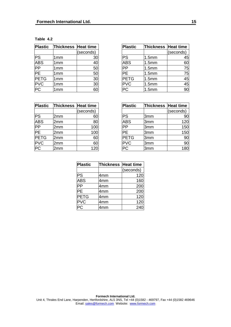| Table |  |
|-------|--|
|-------|--|

| <b>Plastic</b>  | Thickness Heat time |           |
|-----------------|---------------------|-----------|
|                 |                     | (seconds) |
| PS              | 1mm                 | 30        |
| <b>ABS</b>      | 1mm                 | 40        |
| PP              | 1mm                 | 50        |
| $\overline{PE}$ | 1mm                 | 50        |
| <b>PETG</b>     | 1mm                 | 30        |
| <b>PVC</b>      | 1mm                 | 30        |
| РC              | 1mm                 |           |

| <b>Plastic</b> | <b>Thickness Heat time</b> |           | <b>Plastic</b> | Thickness Heat time |           |
|----------------|----------------------------|-----------|----------------|---------------------|-----------|
|                |                            | (seconds) |                |                     | (seconds) |
| PS             | 1mm                        | 30        | PS             | 1.5mm               | 45        |
| <b>ABS</b>     | 1 <sub>mm</sub>            | 40        | <b>ABS</b>     | 1.5 <sub>mm</sub>   | 60        |
| PP             | 1 <sub>mm</sub>            | 50        | <b>PP</b>      | 1.5mm               | 75        |
| PЕ             | 1 <sub>mm</sub>            | 50        | <b>PE</b>      | 1.5 <sub>mm</sub>   | 75        |
| <b>PETG</b>    | 1 <sub>mm</sub>            | 30        | <b>PETG</b>    | 1.5mm               | 45        |
| <b>PVC</b>     | 1 <sub>mm</sub>            | 30        | <b>PVC</b>     | 1.5 <sub>mm</sub>   | 45        |
| <b>PC</b>      | 1 <sub>mm</sub>            | 60        | <b>PC</b>      | 1.5mm               | 90        |

| Plastic     | <b>Thickness Heat time</b> |           |
|-------------|----------------------------|-----------|
|             |                            | (seconds) |
| PS          | 2mm                        | 60        |
| <b>ABS</b>  | 2mm                        | 80        |
| PP          | 2mm                        | 100       |
| PE          | 2mm                        | 100       |
| <b>PETG</b> | 2mm                        | 60        |
| <b>PVC</b>  | 2mm                        | 60        |
|             | 2mm                        | 120       |

| <b>Plastic</b>  | Thickness Heat time |           | <b>Plastic</b> | Thickness Heat time |           |
|-----------------|---------------------|-----------|----------------|---------------------|-----------|
|                 |                     | (seconds) |                |                     | (seconds) |
| PS              | 2mm                 | 60        | PS             | 3mm                 | 90        |
| <b>ABS</b>      | 2mm                 | 80        | <b>ABS</b>     | 3mm                 | 120       |
| $\overline{PP}$ | 2mm                 | 100       | <b>IPP</b>     | 3mm                 | 150       |
| PЕ              | 2mm                 | 100       | IPF            | 3mm                 | 150       |
| <b>PETG</b>     | 2mm                 | 60        | <b>PETG</b>    | 3mm                 | 90        |
| <b>PVC</b>      | 2mm                 | 60        | <b>PVC</b>     | 3mm                 | 90        |
| PC              | 2mm                 | 120       | PC             | 3mm                 | 180       |

| <b>Plastic</b> | Thickness Heat time |           |
|----------------|---------------------|-----------|
|                |                     | (seconds) |
| PS             | 4mm                 | 120       |
| <b>ABS</b>     | 4 <sub>mm</sub>     | 160       |
| PP             | 4 <sub>mm</sub>     | 200       |
| PE             | 4mm                 | 200       |
| <b>PETG</b>    | 4mm                 | 120       |
| <b>PVC</b>     | 4 <sub>mm</sub>     | 120       |
|                | 4mm                 | 240       |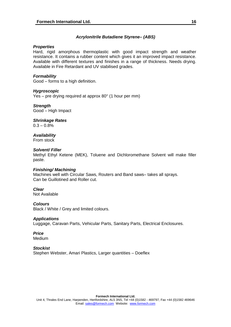## *Acrylonitrile Butadiene Styrene– (ABS)*

## <span id="page-15-0"></span>*Properties*

Hard, rigid amorphous thermoplastic with good impact strength and weather resistance. It contains a rubber content which gives it an improved impact resistance. Available with different textures and finishes in a range of thickness. Needs drying. Available in Fire Retardant and UV stabilised grades.

## *Formability*

Good – forms to a high definition.

## *Hygroscopic*

Yes – pre drying required at approx 80° (1 hour per mm)

*Strength*  Good – High Impact

## *Shrinkage Rates*

 $0.3 - 0.8\%$ 

#### *Availability*  From stock

## *Solvent/ Filler*

Methyl Ethyl Ketene (MEK), Toluene and Dichloromethane Solvent will make filler paste.

## *Finishing/ Machining*

Machines well with Circular Saws, Routers and Band saws– takes all sprays. Can be Guillotined and Roller cut.

## *Clear*

Not Available

## *Colours*

Black / White / Grey and limited colours.

## *Applications*

Luggage, Caravan Parts, Vehicular Parts, Sanitary Parts, Electrical Enclosures.

## *Price*

**Medium** 

## *Stockist*

Stephen Webster, Amari Plastics, Larger quantities - Doeflex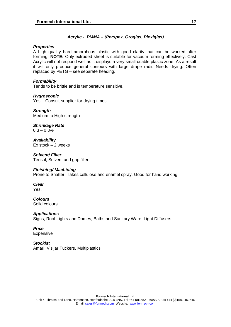## *Acrylic - PMMA – (Perspex, Oroglas, Plexiglas)*

## <span id="page-16-0"></span>*Properties*

A high quality hard amorphous plastic with good clarity that can be worked after forming. **NOTE:** Only extruded sheet is suitable for vacuum forming effectively. Cast Acrylic will not respond well as it displays a very small usable plastic zone. As a result it will only produce general contours with large drape radii. Needs drying. Often replaced by PETG – see separate heading.

## *Formability*

Tends to be brittle and is temperature sensitive.

## *Hygroscopic*

Yes – Consult supplier for drying times.

*Strength*  Medium to High strength

*Shrinkage Rate*   $0.3 - 0.8\%$ 

*Availability*   $Ex stock - 2 weeks$ 

*Solvent/ Filler*  Tensol, Solvent and gap filler.

## *Finishing/ Machining*

Prone to Shatter. Takes cellulose and enamel spray. Good for hand working.

*Clear*  Yes.

#### *Colours*  Solid colours

*Applications* Signs, Roof Lights and Domes, Baths and Sanitary Ware, Light Diffusers

*Price*  Expensive

*Stockist*  Amari, Visijar Tuckers, Multiplastics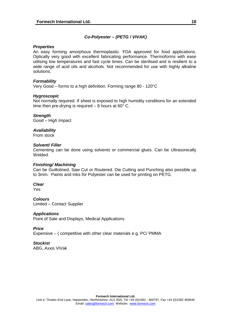## *Co-Polyester – (PETG / VIVAK)*

## <span id="page-17-0"></span>*Properties*

An easy forming amorphous thermoplastic. FDA approved for food applications. Optically very good with excellent fabricating performance. Thermoforms with ease utilising low temperatures and fast cycle times. Can be sterilised and is resilient to a wide range of acid oils and alcohols. Not recommended for use with highly alkaline solutions.

## *Formability*

Very Good – forms to a high definition. Forming range 80 - 120°C

## *Hygroscopic*

Not normally required. If sheet is exposed to high humidity conditions for an extended time then pre-drying is required  $-8$  hours at 60 $^{\circ}$  C.

## *Strength*

Good – High Impact

## *Availability*

From stock

## *Solvent/ Filler*

Cementing can be done using solvents or commercial glues. Can be Ultrasonically Welded.

## *Finishing/ Machining*

Can be Guillotined, Saw Cut or Routered. Die Cutting and Punching also possible up to 3mm. Paints and Inks for Polyester can be used for printing on PETG.

## *Clear*

Yes

*Colours*  Limited – Contact Supplier

## *Applications*

Point of Sale and Displays, Medical Applications

## *Price*

Expensive – ( competitive with other clear materials e.g. PC/ PMMA

## *Stockist*

ABG, Axxis ViVak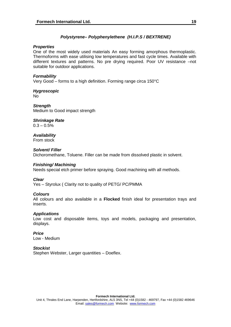## *Polystyrene– Polyphenylethene (H.I.P.S / BEXTRENE)*

## <span id="page-18-0"></span>*Properties*

One of the most widely used materials An easy forming amorphous thermoplastic. Thermoforms with ease utilising low temperatures and fast cycle times. Available with different textures and patterns. No pre drying required. Poor UV resistance –not suitable for outdoor applications.

## *Formability*

Very Good – forms to a high definition. Forming range circa 150°C

*Hygroscopic* No

*Strength*  Medium to Good impact strength

## *Shrinkage Rate*

 $0.3 - 0.5\%$ 

#### *Availability*  From stock

*Solvent/ Filler*  Dichoromethane, Toluene. Filler can be made from dissolved plastic in solvent.

## *Finishing/ Machining*

Needs special etch primer before spraying. Good machining with all methods.

## *Clear*

Yes – Styrolux ( Clarity not to quality of PETG/ PC/PMMA

## *Colours*

All colours and also available in a **Flocked** finish ideal for presentation trays and inserts.

## *Applications*

Low cost and disposable items, toys and models, packaging and presentation, displays.

*Price*  Low - Medium

## *Stockist*

Stephen Webster, Larger quantities - Doeflex.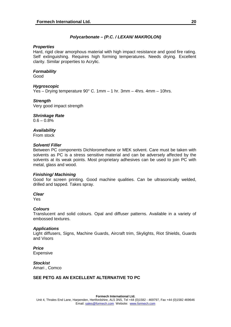## *Polycarbonate – (P.C. / LEXAN/ MAKROLON)*

## <span id="page-19-0"></span>*Properties*

Hard, rigid clear amorphous material with high impact resistance and good fire rating. Self extinguishing. Requires high forming temperatures. Needs drying. Excellent clarity. Similar properties to Acrylic.

## *Formability*

Good

## *Hygroscopic*

Yes – Drying temperature 90° C. 1mm – 1 hr. 3mm – 4hrs. 4mm – 10hrs.

## *Strength*

Very good impact strength

*Shrinkage Rate* 

 $0.6 - 0.8%$ 

*Availability* 

From stock

## *Solvent/ Filler*

Between PC components Dichloromethane or MEK solvent. Care must be taken with solvents as PC is a stress sensitive material and can be adversely affected by the solvents at its weak points. Most proprietary adhesives can be used to join PC with metal, glass and wood.

## *Finishing/ Machining*

Good for screen printing. Good machine qualities. Can be ultrasonically welded, drilled and tapped. Takes spray.

#### *Clear*

Yes

## *Colours*

Translucent and solid colours. Opal and diffuser patterns. Available in a variety of embossed textures.

## *Applications*

Light diffusers, Signs, Machine Guards, Aircraft trim, Skylights, Riot Shields, Guards and Visors

*Price*  Expensive

*Stockist*  Amari , Comco

## **SEE PETG AS AN EXCELLENT ALTERNATIVE TO PC**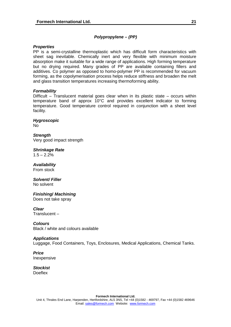## *Polypropylene – (PP)*

## <span id="page-20-0"></span>*Properties*

PP is a semi-crystalline thermoplastic which has difficult form characteristics with sheet sag inevitable. Chemically inert and very flexible with minimum moisture absorption make it suitable for a wide range of applications. High forming temperature but no drying required. Many grades of PP are available containing fillers and additives. Co polymer as opposed to homo-polymer PP is recommended for vacuum forming, as the copolymerisation process helps reduce stiffness and broaden the melt and glass transition temperatures increasing thermoforming ability.

## *Formability*

Difficult – Translucent material goes clear when in its plastic state – occurs within temperature band of approx 10°C and provides excellent indicator to forming temperature. Good temperature control required in conjunction with a sheet level facility.

*Hygroscopic* No

*Strength*  Very good impact strength

*Shrinkage Rate*   $1.5 - 2.2%$ 

*Availability*  From stock

*Solvent/ Filler*  No solvent

*Finishing***/** *Machining* Does not take spray

*Clear*  Translucent –

*Colours*  Black / white and colours available

## *Applications*

Luggage, Food Containers, Toys, Enclosures, Medical Applications, Chemical Tanks.

*Price*  Inexpensive

*Stockist*  **Doeflex** 

> **Formech International Ltd.**  Unit 4, Thrales End Lane, Harpenden, Hertfordshire, AL5 3NS, Tel +44 (0)1582 - 469797, Fax +44 (0)1582 469646 Email: sales@formech.com Website: www.formech.com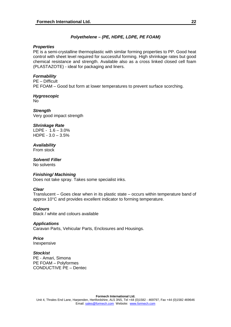## *Polyethelene – (PE, HDPE, LDPE, PE FOAM)*

## <span id="page-21-0"></span>*Properties*

PE is a semi-crystalline thermoplastic with similar forming properties to PP. Good heat control with sheet level required for successful forming. High shrinkage rates but good chemical resistance and strength. Available also as a cross linked closed cell foam (PLASTAZOTE) - ideal for packaging and liners.

## *Formability*

PE – Difficult PE FOAM – Good but form at lower temperatures to prevent surface scorching.

## *Hygroscopic*

No

*Strength*  Very good impact strength

## *Shrinkage Rate*

LDPE -  $1.6 - 3.0\%$ HDPE - 3.0 – 3.5%

## *Availability*

From stock

## *Solvent***/** *Filler*

No solvents

## *Finishing/ Machining*

Does not take spray. Takes some specialist inks.

## *Clear*

Translucent – Goes clear when in its plastic state – occurs within temperature band of approx 10°C and provides excellent indicator to forming temperature.

## *Colours*

Black / white and colours available

## *Applications*

Caravan Parts, Vehicular Parts, Enclosures and Housings.

## *Price*

Inexpensive

## *Stockist*

PE - Amari, Simona PE FOAM – Polyformes CONDUCTIVE PE – Dentec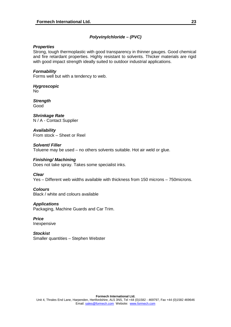## *Polyvinylchloride – (PVC)*

## <span id="page-22-0"></span>*Properties*

Strong, tough thermoplastic with good transparency in thinner gauges. Good chemical and fire retardant properties. Highly resistant to solvents. Thicker materials are rigid with good impact strength ideally suited to outdoor industrial applications.

## *Formability*

Forms well but with a tendency to web.

*Hygroscopic* No

*Strength*  Good

*Shrinkage Rate*  N / A - Contact Supplier

*Availability*  From stock – Sheet or Reel

## *Solvent/ Filler*  Toluene may be used – no others solvents suitable. Hot air weld or glue.

## *Finishing/ Machining*

Does not take spray. Takes some specialist inks.

## *Clear*

Yes – Different web widths available with thickness from 150 microns – 750microns.

## *Colours*

Black / white and colours available

## *Applications*

Packaging, Machine Guards and Car Trim.

#### *Price* Inexpensive

*Stockist*  Smaller quantities – Stephen Webster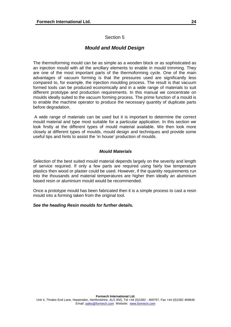## Section 5

## *Mould and Mould Design*

<span id="page-23-0"></span>The thermoforming mould can be as simple as a wooden block or as sophisticated as an injection mould with all the ancillary elements to enable in mould trimming. They are one of the most important parts of the thermoforming cycle. One of the main advantages of vacuum forming is that the pressures used are significantly less compared to, for example, the injection moulding process. The result is that vacuum formed tools can be produced economically and in a wide range of materials to suit different prototype and production requirements. In this manual we concentrate on moulds ideally suited to the vacuum forming process. The prime function of a mould is to enable the machine operator to produce the necessary quantity of duplicate parts before degradation.

 A wide range of materials can be used but it is important to determine the correct mould material and type most suitable for a particular application. In this section we look firstly at the different types of mould material available. We then look more closely at different types of moulds, mould design and techniques and provide some useful tips and hints to assist the 'in house' production of moulds.

## *Mould Materials*

Selection of the best suited mould material depends largely on the severity and length of service required. If only a few parts are required using fairly low temperature plastics then wood or plaster could be used. However, if the quantity requirements run into the thousands and material temperatures are higher then ideally an aluminium based resin or aluminium mould would be recommended.

Once a prototype mould has been fabricated then it is a simple process to cast a resin mould into a forming taken from the original tool.

## *See the heading Resin moulds for further details.*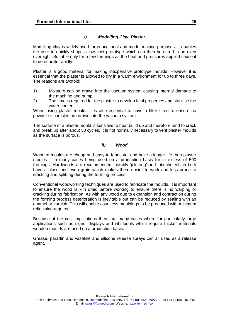## *i) Modelling Clay, Plaster*

Modelling clay is widely used for educational and model making purposes. It enables the user to quickly shape a low cost prototype which can then be cured in an oven overnight. Suitable only for a few formings as the heat and pressures applied cause it to deteriorate rapidly.

Plaster is a good material for making inexpensive prototype moulds. However it is essential that the plaster is allowed to dry in a warm environment for up to three days. The reasons are twofold;

- 1) Moisture can be drawn into the vacuum system causing internal damage to the machine and pump.
- 2) The time is required for the plaster to develop final properties and stabilise the water content.

When using plaster moulds it is also essential to have a filter fitted to ensure no powder or particles are drawn into the vacuum system.

The surface of a plaster mould is sensitive to heat build up and therefore tend to crack and break up after about 50 cycles. It is not normally necessary to vent plaster moulds as the surface is porous.

## *ii) Wood*

Wooden moulds are cheap and easy to fabricate, and have a longer life than plaster moulds – in many cases being used on a production basis for in excess of 500 formings. Hardwoods are recommended, notably 'jelutong' and 'obeche' which both have a close and even grain which makes them easier to work and less prone to cracking and splitting during the forming process.

Conventional woodworking techniques are used to fabricate the moulds. It is important to ensure the wood is kiln dried before working to ensure there is no warping or cracking during fabrication. As with any wood due to expansion and contraction during the forming process deterioration is inevitable but can be reduced by sealing with an enamel or varnish. This will enable countless mouldings to be produced with minimum refinishing required.

Because of the cost implications there are many cases where for particularly large applications such as signs, displays and whirlpools which require thicker materials wooden moulds are used on a production basis.

Grease, paraffin and vaseline and silicone release sprays can all used as a release agent.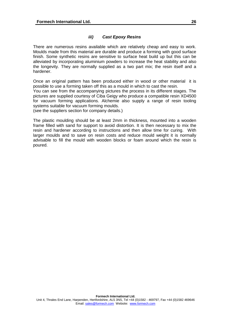## *iii) Cast Epoxy Resins*

There are numerous resins available which are relatively cheap and easy to work. Moulds made from this material are durable and produce a forming with good surface finish. Some synthetic resins are sensitive to surface heat build up but this can be alleviated by incorporating aluminium powders to increase the heat stability and also the longevity. They are normally supplied as a two part mix; the resin itself and a hardener.

Once an original pattern has been produced either in wood or other material it is possible to use a forming taken off this as a mould in which to cast the resin.

You can see from the accompanying pictures the process in its different stages. The pictures are supplied courtesy of Ciba Geigy who produce a compatible resin XD4500 for vacuum forming applications. Alchemie also supply a range of resin tooling systems suitable for vacuum forming moulds.

(see the suppliers section for company details.)

The plastic moulding should be at least 2mm in thickness, mounted into a wooden frame filled with sand for support to avoid distortion. It is then necessary to mix the resin and hardener according to instructions and then allow time for curing. With larger moulds and to save on resin costs and reduce mould weight it is normally advisable to fill the mould with wooden blocks or foam around which the resin is poured.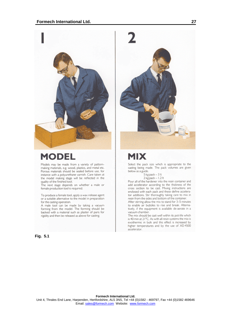

## **MODEL**

Models may be made from a variety of patternmaking materials, e.g. wood, plastics, and metal etc. Porous materials should be sealed before use, for instance with a polyurethane varnish. Care taken at the model making stage will be reflected in the quality of the finished tool.

The next stage depends on whether a male or female production tool is required.

To produce a female tool, apply a wax release agent or a suitable alternative to the model in preparation for the casting operation.

A male tool can be made by taking a vacuum forming from the model. The forming should be backed with a material such as plaster of paris for rigidity and then be released as above for casting.

**Fig. 5.1** 



## **MIX**

Select the pack size which is appropriate to the casting being made. The pack volumes are given below as a guide.

#### 5 kg pack - 3 lt

 $2$  kg pack  $-1.2$  lt Pour all of the hardener into the resin container and add accelerator according to the thickness of the<br>cross section to be cast. Mixing instructions are enclosed with each pack and these define accelerator additions. Stir thoroughly taking care to mix in resin from the sides and bottom of the container.

After stirring allow the mix to stand for 3-5 minutes to enable air bubbles to rise and break. Alternatively, if the equipment is available de-aerate in a vacuum chamber.

The mix should be cast well within its pot-life which is 40 min at 21°C. As with all resin systems the mix is exothermic in bulk and this effect is increased by higher temperatures and by the use of XD 4500 accelerator.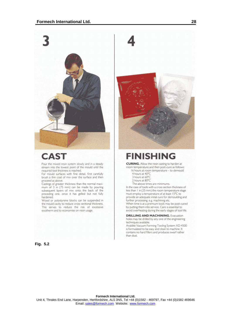

## **CAST**

Pour the mixed resin system slowly and in a steady stream into the lowest point of the mould until the required tool thickness is reached.

For mould surfaces with fine detail, first carefully brush a thin coat of mix over the surface and then proceed as above.

Castings of greater thickness than the normal maximum of 3 in (75 mm) can be made by pouring subsequent layers of mix onto the back of the preceding one, once it has gelled but not fully hardened.

Wood or polystyrene blocks can be suspended in the mould cavity to reduce cross sectional thickness. This serves to reduce the risk of excessive exotherm and to economise on resin usage.



## **FINISHING**

**CURING.** Allow the resin casting to harden at room temperature and then post-cure as follows:

- 16 hours at room temperature to demould
- 4 hours at 40°C
- 3 hours at 60°C
- 2 hours at 80°C
- The above times are minimums.

In the case of tools with a cross section thickness of less than 1 in (25 mm) the room temperature stage must employ a temperature of at least 15°C to provide an adequate initial cure for demoulding and further processing. e.g. machining etc. When time is at a premium tools may be post-cured by putting them into service. Care is essential to

avoid overheating during the early stages of tool life.

**DRILLING AND MACHINING.** Evacuation holes may be drilled by any one of the engineering techniques available.

Araldite Vacuum Forming Tooling System XD 4500 is formulated to be easy and clean to machine. It contains no hard fillers and produces swarf rather than dust.

**Fig. 5.2**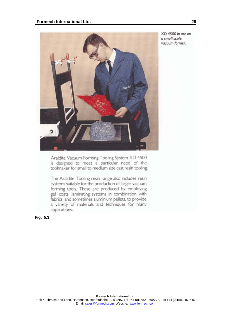

XD 4500 in use on a small scale vacuum former.

Araldite Vacuum Forming Tooling System XD 4500 is designed to meet a particular need of the toolmaker for small to medium size cast resin tooling.

The Araldite Tooling resin range also includes resin systems suitable for the production of larger vacuum forming tools. These are produced by employing gel coats, laminating systems in combination with fabrics, and sometimes aluminium pellets, to provide a variety of materials and techniques for many applications.

**Fig. 5.3**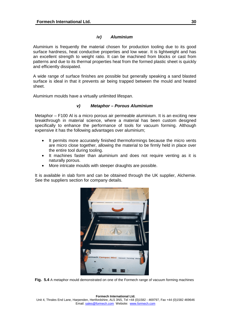## *iv) Aluminium*

Aluminium is frequently the material chosen for production tooling due to its good surface hardness, heat conductive properties and low wear. It is lightweight and has an excellent strength to weight ratio. It can be machined from blocks or cast from patterns and due to its thermal properties heat from the formed plastic sheet is quickly and efficiently dissipated.

A wide range of surface finishes are possible but generally speaking a sand blasted surface is ideal in that it prevents air being trapped between the mould and heated sheet.

Aluminium moulds have a virtually unlimited lifespan.

## *v) Metaphor – Porous Aluminium*

Metaphor – F100 Al is a micro porous air permeable aluminium. It is an exciting new breakthrough in material science, where a material has been custom designed specifically to enhance the performance of tools for vacuum forming. Although expensive it has the following advantages over aluminium;

- It permits more accurately finished thermoformings because the micro vents are micro close together, allowing the material to be firmly held in place over the entire tool during tooling.
- It machines faster than aluminium and does not require venting as it is naturally porous.
- More intricate moulds with steeper draughts are possible.

It is available in slab form and can be obtained through the UK supplier, Alchemie. See the suppliers section for company details.



**Fig. 5.4** A metaphor mould demonstrated on one of the Formech range of vacuum forming machines

**Formech International Ltd.**  Unit 4, Thrales End Lane, Harpenden, Hertfordshire, AL5 3NS, Tel +44 (0)1582 - 469797, Fax +44 (0)1582 469646 Email: sales@formech.com Website: www.formech.com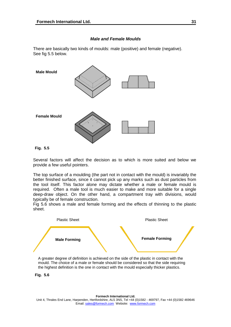## *Male and Female Moulds*

<span id="page-30-0"></span>There are basically two kinds of moulds: male (positive) and female (negative). See fig 5.5 below.



#### **Fig. 5.5**

Several factors will affect the decision as to which is more suited and below we provide a few useful pointers.

The top surface of a moulding (the part not in contact with the mould) is invariably the better finished surface, since it cannot pick up any marks such as dust particles from the tool itself. This factor alone may dictate whether a male or female mould is required. Often a male tool is much easier to make and more suitable for a single deep-draw object. On the other hand, a compartment tray with divisions, would typically be of female construction.

Fig 5.6 shows a male and female forming and the effects of thinning to the plastic sheet.



A greater degree of definition is achieved on the side of the plastic in contact with the mould. The choice of a male or female should be considered so that the side requiring the highest definition is the one in contact with the mould especially thicker plastics.

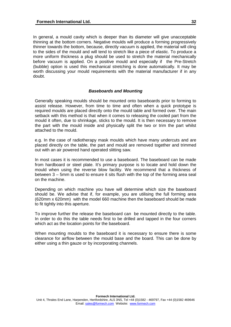<span id="page-31-0"></span>In general, a mould cavity which is deeper than its diameter will give unacceptable thinning at the bottom corners. Negative moulds will produce a forming progressively thinner towards the bottom, because, directly vacuum is applied, the material will cling to the sides of the mould and will tend to stretch like a piece of elastic. To produce a more uniform thickness a plug should be used to stretch the material mechanically before vacuum is applied. On a positive mould and especially if the Pre-Stretch (bubble) option is used this mechanical stretching is done automatically. It may be worth discussing your mould requirements with the material manufacturer if in any doubt.

#### *Baseboards and Mounting*

Generally speaking moulds should be mounted onto baseboards prior to forming to assist release. However, from time to time and often when a quick prototype is required moulds are placed directly onto the mould table and formed over. The main setback with this method is that when it comes to releasing the cooled part from the mould it often, due to shrinkage, sticks to the mould. It is then necessary to remove the part with the mould inside and physically split the two or trim the part whilst attached to the mould.

e.g. In the case of radiotherapy mask moulds which have many undercuts and are placed directly on the table, the part and mould are removed together and trimmed out with an air powered hand operated slitting saw.

In most cases it is recommended to use a baseboard. The baseboard can be made from hardboard or steel plate. It's primary purpose is to locate and hold down the mould when using the reverse blow facility. We recommend that a thickness of between 3 – 5mm is used to ensure it sits flush with the top of the forming area seal on the machine.

Depending on which machine you have will determine which size the baseboard should be. We advise that if, for example, you are utilising the full forming area (620mm x 620mm) with the model 660 machine then the baseboard should be made to fit tightly into this aperture.

To improve further the release the baseboard can be mounted directly to the table. In order to do this the table needs first to be drilled and tapped in the four corners which act as the location points for the baseboard.

When mounting moulds to the baseboard it is necessary to ensure there is some clearance for airflow between the mould base and the board. This can be done by either using a thin gauze or by incorporating channels.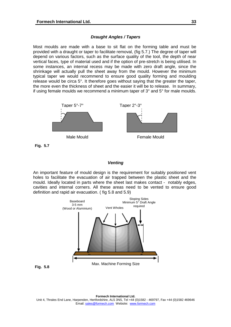#### *Draught Angles / Tapers*

<span id="page-32-0"></span>Most moulds are made with a base to sit flat on the forming table and must be provided with a draught or taper to facilitate removal, (fig 5.7.) The degree of taper will depend on various factors, such as the surface quality of the tool, the depth of near vertical faces, type of material used and if the option of pre-stretch is being utilised. In some instances, an internal recess may be made with zero draft angle, since the shrinkage will actually pull the sheet away from the mould. However the minimum typical taper we would recommend to ensure good quality forming and moulding release would be circa 5°. It therefore goes without saying that the greater the taper, the more even the thickness of sheet and the easier it will be to release. In summary, if using female moulds we recommend a minimum taper of 3° and 5° for male moulds.



**Fig. 5.7** 

#### *Venting*

An important feature of mould design is the requirement for suitably positioned vent holes to facilitate the evacuation of air trapped between the plastic sheet and the mould. Ideally located in parts where the sheet last makes contact - notably edges, cavities and internal corners. All these areas need to be vented to ensure good definition and rapid air evacuation. ( fig 5.8 and 5.9)



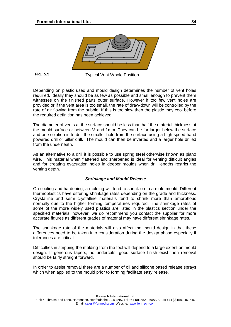<span id="page-33-0"></span>

**Fig. 5.9** 

Typical Vent Whole Position

Depending on plastic used and mould design determines the number of vent holes required. Ideally they should be as few as possible and small enough to prevent them witnesses on the finished parts outer surface. However if too few vent holes are provided or if the vent area is too small, the rate of draw-down will be controlled by the rate of air flowing from the bubble. If this is too slow then the plastic may cool before the required definition has been achieved.

The diameter of vents at the surface should be less than half the material thickness at the mould surface or between ½ and 1mm. They can be far larger below the surface and one solution is to drill the smaller hole from the surface using a high speed hand powered drill or pillar drill. The mould can then be inverted and a larger hole drilled from the underneath.

As an alternative to a drill it is possible to use spring steel otherwise known as piano wire. This material when flattened and sharpened is ideal for venting difficult angles and for creating evacuation holes in deeper moulds when drill lengths restrict the venting depth.

## *Shrinkage and Mould Release*

On cooling and hardening, a molding will tend to shrink on to a male mould. Different thermoplastics have differing shrinkage rates depending on the grade and thickness. Crystalline and semi crystalline materials tend to shrink more than amorphous normally due to the higher forming temperatures required. The shrinkage rates of some of the more widely used plastics are listed in the plastics section under the specified materials, however, we do recommend you contact the supplier for more accurate figures as different grades of material may have different shrinkage rates.

The shrinkage rate of the materials will also affect the mould design in that these differences need to be taken into consideration during the design phase especially if tolerances are critical.

Difficulties in stripping the molding from the tool will depend to a large extent on mould design. If generous tapers, no undercuts, good surface finish exist then removal should be fairly straight forward.

In order to assist removal there are a number of oil and silicone based release sprays which when applied to the mould prior to forming facilitate easy release.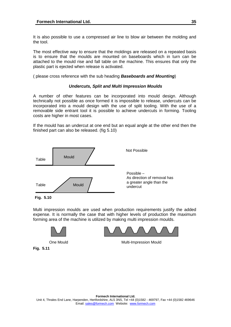<span id="page-34-0"></span>It is also possible to use a compressed air line to blow air between the molding and the tool.

The most effective way to ensure that the moldings are released on a repeated basis is to ensure that the moulds are mounted on baseboards which in turn can be attached to the mould rise and fall table on the machine. This ensures that only the plastic part is ejected when release is activated.

( please cross reference with the sub heading *Baseboards and Mounting*)

#### *Undercuts, Split and Multi Impression Moulds*

A number of other features can be incorporated into mould design. Although technically not possible as once formed it is impossible to release, undercuts can be incorporated into a mould design with the use of split tooling. With the use of a removable side entrant tool it is possible to achieve undercuts in forming. Tooling costs are higher in most cases.

If the mould has an undercut at one end but an equal angle at the other end then the finished part can also be released. (fig 5.10)



**Fig. 5.10** 

Multi impression moulds are used when production requirements justify the added expense. It is normally the case that with higher levels of production the maximum forming area of the machine is utilized by making multi impression moulds.



**Fig. 5.11** 

One Mould **Multi-Impression Mould**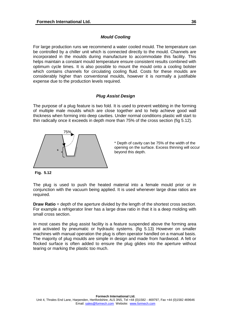## *Mould Cooling*

<span id="page-35-0"></span>For large production runs we recommend a water cooled mould. The temperature can be controlled by a chiller unit which is connected directly to the mould. Channels are incorporated in the moulds during manufacture to accommodate this facility. This helps maintain a constant mould temperature ensure consistent results combined with optimum cycle times. It is also possible to mount the mould onto a cooling bolster which contains channels for circulating cooling fluid. Costs for these moulds are considerably higher than conventional moulds, however it is normally a justifiable expense due to the production levels required.

## *Plug Assist Design*

The purpose of a plug feature is two fold. It is used to prevent webbing in the forming of multiple male moulds which are close together and to help achieve good wall thickness when forming into deep cavities. Under normal conditions plastic will start to thin radically once it exceeds in depth more than 75% of the cross section (fig 5.12).



\* Depth of cavity can be 75% of the width of the opening on the surface. Excess thinning will occur beyond this depth.

**Fig. 5.12** 

The plug is used to push the heated material into a female mould prior or in conjunction with the vacuum being applied. It is used whenever large draw ratios are required.

**Draw Ratio** = depth of the aperture divided by the length of the shortest cross section. For example a refrigerator liner has a large draw ratio in that it is a deep molding with small cross section.

In most cases the plug assist facility is a feature suspended above the forming area and activated by pneumatic or hydraulic systems. (fig 5.13) However on smaller machines with manual operation the plug is often operator handled on a manual basis. The majority of plug moulds are simple in design and made from hardwood. A felt or flocked surface is often added to ensure the plug glides into the aperture without tearing or marking the plastic too much.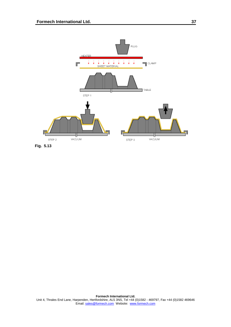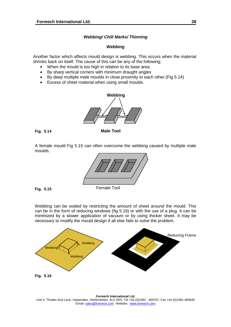## *Webbing/ Chill Marks/ Thinning*

## *Webbing*

<span id="page-37-0"></span>Another factor which affects mould design is webbing. This occurs when the material shrinks back on itself. The cause of this can be any of the following;

- When the mould is too high in relation to its base area.
- By sharp vertical corners with minimum draught angles
- By deep multiple male moulds in close proximity to each other.(Fig 5.14)
- Excess of sheet material when using small moulds.



**Fig. 5.14** 

**Male Tool** 

A female mould Fig 5.15 can often overcome the webbing caused by multiple male moulds.



**Fig. 5.15** 

Webbing can be voided by restricting the amount of sheet around the mould. This can be in the form of reducing windows (fig 5.16) or with the use of a plug. It can be minimized by a slower application of vacuum or by using thicker sheet. It may be necessary to modify the mould design if all else fails to solve the problem.

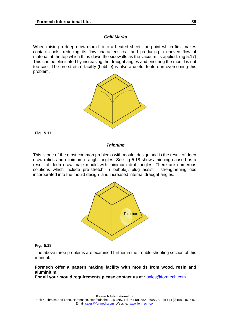## *Chill Marks*

<span id="page-38-0"></span>When raising a deep draw mould into a heated sheet, the point which first makes contact cools, reducing its flow characteristics and producing a uneven flow of material at the top which thins down the sidewalls as the vacuum is applied. (fig 5.17) This can be eliminated by increasing the draught angles and ensuring the mould is not too cool. The pre-stretch facility (bubble) is also a useful feature in overcoming this problem.



**Fig. 5.17**

#### *Thinning*

This is one of the most common problems with mould design and is the result of deep draw ratios and minimum draught angles. See fig 5.18 shows thinning caused as a result of deep draw male mould with minimum draft angles. There are numerous solutions which include pre-stretch ( bubble), plug assist , strengthening ribs incorporated into the mould design and increased internal draught angles.



#### **Fig. 5.18**

The above three problems are examined further in the trouble shooting section of this manual.

## **Formech offer a pattern making facility with moulds from wood, resin and aluminium.**

For all your mould requirements please contact us at : [sales@formech.com](mailto:sales@formech.com)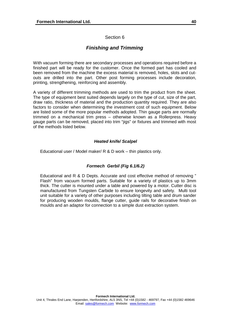## Section 6

## *Finishing and Trimming*

<span id="page-39-0"></span>With vacuum forming there are secondary processes and operations required before a finished part will be ready for the customer. Once the formed part has cooled and been removed from the machine the excess material is removed, holes, slots and cutouts are drilled into the part. Other post forming processes include decoration, printing, strengthening, reinforcing and assembly.

A variety of different trimming methods are used to trim the product from the sheet. The type of equipment best suited depends largely on the type of cut, size of the part, draw ratio, thickness of material and the production quantity required. They are also factors to consider when determining the investment cost of such equipment. Below are listed some of the more popular methods adopted. Thin gauge parts are normally trimmed on a mechanical trim press – otherwise known as a Rollerpress. Heavy gauge parts can be removed, placed into trim "jigs" or fixtures and trimmed with most of the methods listed below.

## *Heated knife/ Scalpel*

Educational user / Model maker/ R & D work – thin plastics only.

## *Formech Gerbil (Fig 6.1/6.2)*

Educational and R & D Depts. Accurate and cost effective method of removing " Flash" from vacuum formed parts. Suitable for a variety of plastics up to 3mm thick. The cutter is mounted under a table and powered by a motor. Cutter disc is manufactured from Tungsten Carbide to ensure longevity and safety. Multi tool unit suitable for a variety of other purposes including tilting table and drum sander for producing wooden moulds, flange cutter, guide rails for decorative finish on moulds and an adaptor for connection to a simple dust extraction system.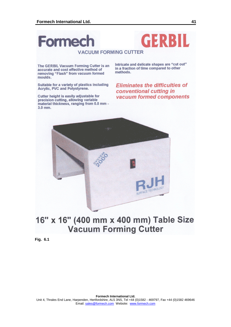## GERBIL **Formech VACUUM FORMING CUTTER**

The GERBIL Vacuum Forming Cutter is an accurate and cost effective method of removing "Flash" from vacuum formed moulds.

Suitable for a variety of plastics including Acrylic, PVC and Polystyrene.

Cutter height is easily adjustable for precision cutting, allowing variable material thickness, ranging from 0.5 mm -3.0 mm.

Intricate and delicate shapes are "cut out" in a fraction of time compared to other methods.

**Eliminates the difficulties of** conventional cutting in vacuum formed components



## 16" x 16" (400 mm x 400 mm) Table Size **Vacuum Forming Cutter**

**Fig. 6.1**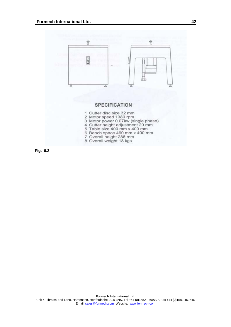

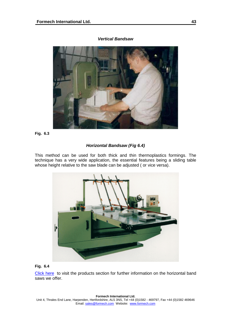<span id="page-42-0"></span>

## *Vertical Bandsaw*

**Fig. 6.3**

## *Horizontal Bandsaw (Fig 6.4)*

This method can be used for both thick and thin thermoplastics formings. The technique has a very wide application, the essential features being a sliding table whose height relative to the saw blade can be adjusted ( or vice versa).



## **Fig. 6.4**

[Click here](http://www.formech.com/english/indexp.htm) to visit the products section for further information on the horizontal band saws we offer.

#### **Formech International Ltd.**

Unit 4, Thrales End Lane, Harpenden, Hertfordshire, AL5 3NS, Tel +44 (0)1582 - 469797, Fax +44 (0)1582 469646 Email: sales@formech.com Website: www.formech.com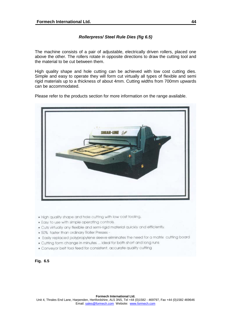## *Rollerpress/ Steel Rule Dies (fig 6.5)*

<span id="page-43-0"></span>The machine consists of a pair of adjustable, electrically driven rollers, placed one above the other. The rollers rotate in opposite directions to draw the cutting tool and the material to be cut between them.

High quality shape and hole cutting can be achieved with low cost cutting dies. Simple and easy to operate they will form cut virtually all types of flexible and semi rigid materials up to a thickness of about 4mm. Cutting widths from 700mm upwards can be accommodated.

Please refer to the products section for more information on the range available.



- . High quality shape and hole cutting with low cost tooling.
- . Easy to use with simple operating controls.
- . Cuts virtually any flexible and semi-rigid material quickly and efficiently.
- . 50% faster than ordinary Roller Presses -
- . Easily replaced polypropylene sleeve eliminates the need for a matrix cutting board
- . Cutting form change in minutes ... ideal for both short and long runs
- . Conveyor belt tool feed for consistent, accurate quality cutting

## **Fig. 6.5**

#### **Formech International Ltd.**

Unit 4, Thrales End Lane, Harpenden, Hertfordshire, AL5 3NS, Tel +44 (0)1582 - 469797, Fax +44 (0)1582 469646 Email: sales@formech.com Website: www.formech.com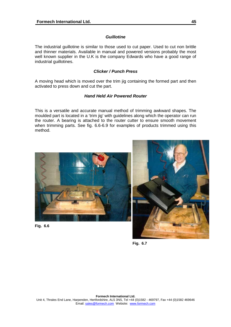## *Guillotine*

<span id="page-44-0"></span>The industrial guillotine is similar to those used to cut paper. Used to cut non brittle and thinner materials. Available in manual and powered versions probably the most well known supplier in the U.K is the company Edwards who have a good range of industrial guillotines.

## *Clicker / Punch Press*

A moving head which is moved over the trim jig containing the formed part and then activated to press down and cut the part.

## *Hand Held Air Powered Router*

This is a versatile and accurate manual method of trimming awkward shapes. The moulded part is located in a 'trim jig' with guidelines along which the operator can run the router. A bearing is attached to the router cutter to ensure smooth movement when trimming parts. See fig. 6.6-6.9 for examples of products trimmed using this method.



**Fig. 6.6** 



**Fig. 6.7**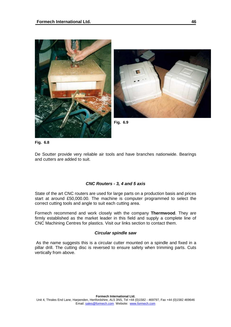<span id="page-45-0"></span>



**Fig. 6.9** 

**Fig. 6.8** 

De Soutter provide very reliable air tools and have branches nationwide. Bearings and cutters are added to suit.

## *CNC Routers - 3, 4 and 5 axis*

State of the art CNC routers are used for large parts on a production basis and prices start at around £50,000.00. The machine is computer programmed to select the correct cutting tools and angle to suit each cutting area.

Formech recommend and work closely with the company **Thermwood**. They are firmly established as the market leader in this field and supply a complete line of CNC Machining Centres for plastics. Visit our links section to contact them.

#### *Circular spindle saw*

As the name suggests this is a circular cutter mounted on a spindle and fixed in a pillar drill. The cutting disc is reversed to ensure safety when trimming parts. Cuts vertically from above.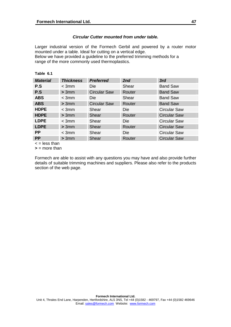## *Circular Cutter mounted from under table.*

<span id="page-46-0"></span>Larger industrial version of the Formech Gerbil and powered by a router motor mounted under a table. Ideal for cutting on a vertical edge. Below we have provided a guideline to the preferred trimming methods for a

range of the more commonly used thermoplastics.

#### **Table 6.1**

| <b>Material</b>                            | <b>Thickness</b> | <b>Preferred</b>    | 2nd        | 3rd                 |
|--------------------------------------------|------------------|---------------------|------------|---------------------|
| P.S                                        | $<$ 3mm          | Die                 | Shear      | <b>Band Saw</b>     |
| P.S                                        | >3mm             | <b>Circular Saw</b> | Router     | <b>Band Saw</b>     |
| <b>ABS</b>                                 | $<$ 3mm          | Die                 | Shear      | <b>Band Saw</b>     |
| <b>ABS</b>                                 | > 3mm            | <b>Circular Saw</b> | Router     | <b>Band Saw</b>     |
| <b>HDPE</b>                                | $<$ 3mm          | Shear               | Die        | <b>Circular Saw</b> |
| <b>HDPE</b>                                | > 3mm            | Shear               | Router     | <b>Circular Saw</b> |
| <b>LDPE</b>                                | $<$ 3mm          | Shear               | Die        | <b>Circular Saw</b> |
| <b>LDPE</b>                                | > 3mm            | Shear               | Router     | <b>Circular Saw</b> |
| <b>PP</b>                                  | $<$ 3mm          | Shear               | <b>Die</b> | <b>Circular Saw</b> |
| <b>PP</b><br>$\mathbf{I}$ and $\mathbf{I}$ | > 3mm            | Shear               | Router     | <b>Circular Saw</b> |

 $\leq$  = less than

**>** = more than

Formech are able to assist with any questions you may have and also provide further details of suitable trimming machines and suppliers. Please also refer to the products section of the web page.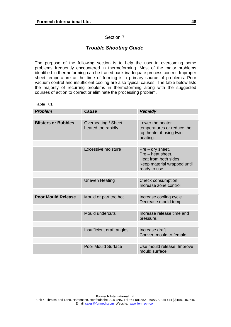## Section 7

## *Trouble Shooting Guide*

<span id="page-47-0"></span>The purpose of the following section is to help the user in overcoming some problems frequently encountered in thermoforming. Most of the major problems identified in thermoforming can be traced back inadequate process control. Improper sheet temperature at the time of forming is a primary source of problems. Poor vacuum control and insufficient cooling are also typical causes. The table below lists the majority of recurring problems in thermoforming along with the suggested courses of action to correct or eliminate the processing problem.

## **Table 7.1**

| <b>Problem</b>             | Cause                                     | <b>Remedy</b>                                                                                                  |
|----------------------------|-------------------------------------------|----------------------------------------------------------------------------------------------------------------|
|                            |                                           |                                                                                                                |
| <b>Blisters or Bubbles</b> | Overheating / Sheet<br>heated too rapidly | Lower the heater<br>temperatures or reduce the<br>top heater if using twin<br>heating.                         |
|                            |                                           |                                                                                                                |
|                            | Excessive moisture                        | $Pre-dry$ sheet.<br>Pre - heat sheet.<br>Heat from both sides.<br>Keep material wrapped until<br>ready to use. |
|                            |                                           |                                                                                                                |
|                            | <b>Uneven Heating</b>                     | Check consumption.<br>Increase zone control                                                                    |
|                            |                                           |                                                                                                                |
| <b>Poor Mould Release</b>  | Mould or part too hot                     | Increase cooling cycle.<br>Decrease mould temp.                                                                |
|                            |                                           |                                                                                                                |
|                            | Mould undercuts                           | Increase release time and<br>pressure.                                                                         |
|                            |                                           |                                                                                                                |
|                            | Insufficient draft angles                 | Increase draft.<br>Convert mould to female.                                                                    |
|                            |                                           |                                                                                                                |
|                            | Poor Mould Surface                        | Use mould release. Improve<br>mould surface.                                                                   |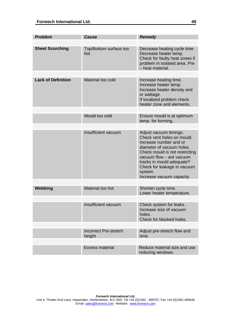| <b>Problem</b>            | <b>Cause</b>                           | Remedy                                                                                                                                                                                                                                                                      |
|---------------------------|----------------------------------------|-----------------------------------------------------------------------------------------------------------------------------------------------------------------------------------------------------------------------------------------------------------------------------|
|                           |                                        |                                                                                                                                                                                                                                                                             |
| <b>Sheet Scorching</b>    | Top/Bottom surface too<br>hot          | Decrease heating cycle time.<br>Decrease heater temp.<br>Check for faulty heat zones if<br>problem in isolated area. Pre<br>- heat material.                                                                                                                                |
|                           |                                        |                                                                                                                                                                                                                                                                             |
| <b>Lack of Definition</b> | Material too cold                      | Increase heating time.<br>Increase heater temp.<br>Increase heater density and<br>or wattage.<br>If localized problem check<br>heater zone and elements.                                                                                                                    |
|                           |                                        |                                                                                                                                                                                                                                                                             |
|                           | Mould too cold                         | Ensure mould is at optimum<br>temp. for forming.                                                                                                                                                                                                                            |
|                           |                                        |                                                                                                                                                                                                                                                                             |
|                           | Insufficient vacuum                    | Adjust vacuum timings.<br>Check vent holes on mould<br>Increase number and or<br>diameter of vacuum holes.<br>Check mould is not restricting<br>vacuum flow - are vacuum<br>tracks in mould adequate?<br>Check for leakage in vacuum<br>system.<br>Increase vacuum capacity |
|                           |                                        |                                                                                                                                                                                                                                                                             |
| Webbing                   | Material too hot                       | Shorten cycle time.<br>Lower heater temperature.                                                                                                                                                                                                                            |
|                           |                                        |                                                                                                                                                                                                                                                                             |
|                           | Insufficient vacuum                    | Check system for leaks.<br>Increase size of vacuum<br>holes.<br>Check for blocked holes.                                                                                                                                                                                    |
|                           |                                        |                                                                                                                                                                                                                                                                             |
|                           | <b>Incorrect Pre-stretch</b><br>height | Adjust pre-stretch flow and<br>time.                                                                                                                                                                                                                                        |
|                           |                                        |                                                                                                                                                                                                                                                                             |
|                           | <b>Excess material</b>                 | Reduce material size and use<br>reducing windows.                                                                                                                                                                                                                           |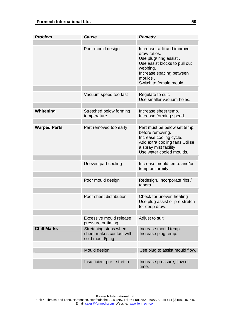| <b>Problem</b>      | <b>Cause</b>                                                         | <b>Remedy</b>                                                                                                                                                                       |
|---------------------|----------------------------------------------------------------------|-------------------------------------------------------------------------------------------------------------------------------------------------------------------------------------|
|                     |                                                                      |                                                                                                                                                                                     |
|                     | Poor mould design                                                    | Increase radii and improve<br>draw ratios.<br>Use plug/ ring assist.<br>Use assist blocks to pull out<br>webbing.<br>Increase spacing between<br>moulds.<br>Switch to female mould. |
|                     |                                                                      |                                                                                                                                                                                     |
|                     | Vacuum speed too fast                                                | Regulate to suit.<br>Use smaller vacuum holes.                                                                                                                                      |
|                     |                                                                      |                                                                                                                                                                                     |
| Whitening           | Stretched below forming<br>temperature                               | Increase sheet temp.<br>Increase forming speed.                                                                                                                                     |
|                     |                                                                      |                                                                                                                                                                                     |
| <b>Warped Parts</b> | Part removed too early                                               | Part must be below set temp.<br>before removing.<br>Increase cooling cycle.<br>Add extra cooling fans Utilise<br>a spray mist facility<br>Use water cooled moulds.                  |
|                     |                                                                      |                                                                                                                                                                                     |
|                     | Uneven part cooling                                                  | Increase mould temp. and/or<br>temp.uniformity                                                                                                                                      |
|                     |                                                                      |                                                                                                                                                                                     |
|                     | Poor mould design                                                    | Redesign. Incorporate ribs /<br>tapers.                                                                                                                                             |
|                     |                                                                      |                                                                                                                                                                                     |
|                     | Poor sheet distribution                                              | Check for uneven heating<br>Use plug assist or pre-stretch<br>for deep draw.                                                                                                        |
|                     |                                                                      |                                                                                                                                                                                     |
|                     | Excessive mould release<br>pressure or timing                        | Adjust to suit                                                                                                                                                                      |
| <b>Chill Marks</b>  | Stretching stops when<br>sheet makes contact with<br>cold mould/plug | Increase mould temp.<br>Increase plug temp.                                                                                                                                         |
|                     |                                                                      |                                                                                                                                                                                     |
|                     | Mould design                                                         | Use plug to assist mould flow.                                                                                                                                                      |
|                     |                                                                      |                                                                                                                                                                                     |
|                     | Insufficient pre - stretch                                           | Increase pressure, flow or<br>time.                                                                                                                                                 |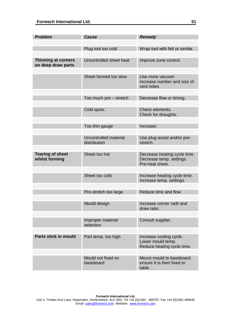| <b>Problem</b>                                   | <b>Cause</b>                          | <b>Remedy</b>                                                               |
|--------------------------------------------------|---------------------------------------|-----------------------------------------------------------------------------|
|                                                  |                                       |                                                                             |
|                                                  | Plug tool too cold                    | Wrap tool with felt or similar.                                             |
| <b>Thinning at corners</b><br>on deep draw parts | Uncontrolled sheet heat               | Improve zone control.                                                       |
|                                                  | Sheet formed too slow                 | Use more vacuum<br>Increase number and size of<br>vent holes                |
|                                                  |                                       |                                                                             |
|                                                  | Too much pre – stretch                | Decrease flow or timing.                                                    |
|                                                  | Cold spots                            | Check elements.<br>Check for draughts.                                      |
|                                                  | Too thin gauge                        | Increase.                                                                   |
|                                                  |                                       |                                                                             |
|                                                  | Uncontrolled material<br>distribution | Use plug assist and/or pre-<br>stretch.                                     |
|                                                  |                                       |                                                                             |
| <b>Tearing of sheet</b><br>whilst forming        | Sheet too hot                         | Decrease heating cycle time.<br>Decrease temp. settings.<br>Pre-heat sheet. |
|                                                  |                                       |                                                                             |
|                                                  | Sheet too cold                        | Increase heating cycle time.<br>Increase temp. settings.                    |
|                                                  |                                       |                                                                             |
|                                                  | Pre-stretch too large                 | Reduce time and flow                                                        |
|                                                  | Mould design                          | Increase corner radii and<br>draw ratio.                                    |
|                                                  |                                       |                                                                             |
|                                                  | Improper material<br>selection        | Consult supplier.                                                           |
|                                                  |                                       |                                                                             |
| Parts stick in mould                             | Part temp. too high                   | Increase cooling cycle.<br>Lower mould temp.<br>Reduce heating cycle time.  |
|                                                  |                                       |                                                                             |
|                                                  | Mould not fixed on<br>baseboard       | Mount mould to baseboard<br>ensure It is then fixed to<br>table.            |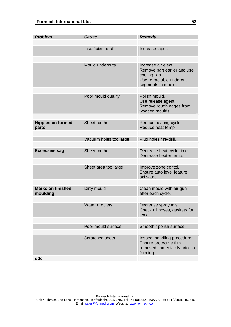| <b>Problem</b>                       | <b>Cause</b>           | <b>Remedy</b>                                                                                                         |
|--------------------------------------|------------------------|-----------------------------------------------------------------------------------------------------------------------|
|                                      |                        |                                                                                                                       |
|                                      | Insufficient draft     | Increase taper.                                                                                                       |
|                                      |                        |                                                                                                                       |
|                                      | Mould undercuts        | Increase air eject.<br>Remove part earlier and use<br>cooling jigs.<br>Use retractable undercut<br>segments in mould. |
|                                      |                        |                                                                                                                       |
|                                      | Poor mould quality     | Polish mould.<br>Use release agent.<br>Remove rough edges from<br>wooden moulds.                                      |
|                                      |                        |                                                                                                                       |
| <b>Nipples on formed</b><br>parts    | Sheet too hot          | Reduce heating cycle.<br>Reduce heat temp.                                                                            |
|                                      |                        |                                                                                                                       |
|                                      | Vacuum holes too large | Plug holes / re-drill.                                                                                                |
|                                      |                        |                                                                                                                       |
| <b>Excessive sag</b>                 | Sheet too hot          | Decrease heat cycle time.<br>Decrease heater temp.                                                                    |
|                                      |                        |                                                                                                                       |
|                                      | Sheet area too large   | Improve zone contol.<br>Ensure auto level feature<br>activated.                                                       |
|                                      |                        |                                                                                                                       |
| <b>Marks on finished</b><br>moulding | Dirty mould            | Clean mould with air gun<br>after each cycle.                                                                         |
|                                      |                        |                                                                                                                       |
|                                      | Water droplets         | Decrease spray mist.<br>Check all hoses, gaskets for<br>leaks.                                                        |
|                                      |                        |                                                                                                                       |
|                                      | Poor mould surface     | Smooth / polish surface.                                                                                              |
|                                      |                        |                                                                                                                       |
|                                      | <b>Scratched sheet</b> | Inspect handling procedure<br>Ensure protective film<br>removed immediately prior to<br>forming.                      |
| ddd                                  |                        |                                                                                                                       |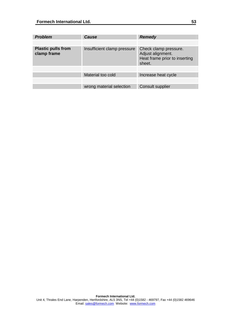| <b>Problem</b>                           | Cause                       | <b>Remedy</b>                                                                         |
|------------------------------------------|-----------------------------|---------------------------------------------------------------------------------------|
|                                          |                             |                                                                                       |
| <b>Plastic pulls from</b><br>clamp frame | Insufficient clamp pressure | Check clamp pressure.<br>Adjust alignment.<br>Heat frame prior to inserting<br>sheet. |
|                                          |                             |                                                                                       |
|                                          | Material too cold           | Increase heat cycle                                                                   |
|                                          |                             |                                                                                       |
|                                          | wrong material selection    | <b>Consult supplier</b>                                                               |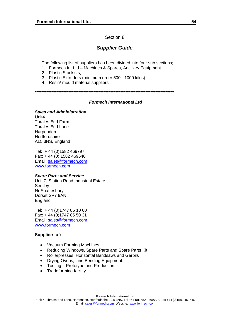## Section 8

## *Supplier Guide*

<span id="page-53-0"></span>The following list of suppliers has been divided into four sub sections;

- 1. Formech Int Ltd Machines & Spares, Ancillary Equipment.
- 2. Plastic Stockists,
- 3. Plastic Extruders (minimum order 500 1000 kilos)
- 4. Resin/ mould material suppliers.

**\*\*\*\*\*\*\*\*\*\*\*\*\*\*\*\*\*\*\*\*\*\*\*\*\*\*\*\*\*\*\*\*\*\*\*\*\*\*\*\*\*\*\*\*\*\*\*\*\*\*\*\*\*\*\*\*\*\*\*\*\*\*\*\*\*\*\*\*\*\*\*\*\*\*\*\*\*\*\*\*\*\*\*** 

## *Formech International Ltd*

*Sales and Administration*  Unit4 Thrales End Farm Thrales End Lane **Harpenden Hertfordshire** AL5 3NS, England

Tel: + 44 (0)1582 469797 Fax: + 44 (0) 1582 469646 Email: [sales@formech.com](mailto:sales@formech.com) [www.formech.com](http://www.formech.com/)

#### *Spare Parts and Service*

Unit 7, Station Road Industrial Estate **Semley** Nr Shaftesbury Dorset SP7 9AN England

Tel: + 44 (0)1747 85 10 60 Fax: + 44 (0)1747 85 50 31 Email: [sales@formech.com](mailto:sales@formech.com) [www.formech.com](http://www.formech.com/)

#### **Suppliers of:**

- Vacuum Forming Machines.
- Reducing Windows, Spare Parts and Spare Parts Kit.
- Rollerpresses, Horizontal Bandsaws and Gerbils
- Drying Ovens, Line Bending Equipment.
- Tooling Prototype and Production
- Tradeforming facility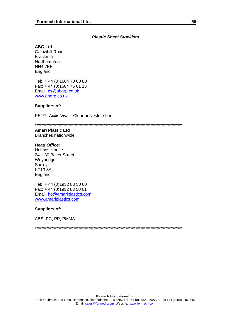## *Plastic Sheet Stockists*

#### **ABG Ltd**

Galowhill Road **Brackmills** Northampton NN4 7EE England

Tel: + 44 (0)1604 70 08 80 Fax: + 44 (0)1604 76 61 13 Email: [cs@abgrp.co.uk](mailto:cs@abgrp.co.uk) [www.abgrp.co.uk](http://www.abgrp.co.uk/)

## **Suppliers of:**

PETG. Axxis Vivak. Clear polyester sheet.

**\*\*\*\*\*\*\*\*\*\*\*\*\*\*\*\*\*\*\*\*\*\*\*\*\*\*\*\*\*\*\*\*\*\*\*\*\*\*\*\*\*\*\*\*\*\*\*\*\*\*\*\*\*\*\*\*\*\*\*\*\*\*\*\*\*\*\*\*\*\*\*\*\*\*\*\*\*\*\*\*\*\*\*\*\*\*\*\*** 

## **Amari Plastic Ltd**

Branches nationwide.

#### *Head Office*:

Holmes House 24 – 30 Baker Street Weybridge **Surrey** KT13 8AU England

Tel: + 44 (0)1932 83 50 00 Fax: + 44 (0)1932 83 50 01 Email: [ho@amariplastics.com](mailto:ho@amariplastics.com) [www.amariplastics.com](http://www.amariplastics.com/)

#### **Suppliers of:**

ABS, PC, PP, PMMA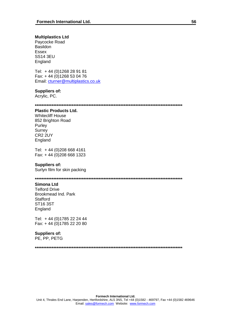#### **Multiplastics Ltd**

Paycocke Road Basildon Essex SS14 3EU England

Tel: + 44 (0)1268 28 91 81 Fax: + 44 (0)1268 53 04 76 Email: [cturner@multiplastics.co.uk](mailto:cturner@multiplastics.co.uk)

#### **Suppliers of:**

Acrylic, PC.

**\*\*\*\*\*\*\*\*\*\*\*\*\*\*\*\*\*\*\*\*\*\*\*\*\*\*\*\*\*\*\*\*\*\*\*\*\*\*\*\*\*\*\*\*\*\*\*\*\*\*\*\*\*\*\*\*\*\*\*\*\*\*\*\*\*\*\*\*\*\*\*\*\*\*\*\*\*\*\*\*\*\*\*\*\*\*\*\*** 

## **Plastic Products Ltd.**

Whitecliff House 852 Brighton Road Purley **Surrey** CR2 2UY England

Tel: + 44 (0)208 668 4161 Fax: + 44 (0)208 668 1323

#### **Suppliers of:**

Surlyn film for skin packing

**\*\*\*\*\*\*\*\*\*\*\*\*\*\*\*\*\*\*\*\*\*\*\*\*\*\*\*\*\*\*\*\*\*\*\*\*\*\*\*\*\*\*\*\*\*\*\*\*\*\*\*\*\*\*\*\*\*\*\*\*\*\*\*\*\*\*\*\*\*\*\*\*\*\*\*\*\*\*\*\*\*\*\*\*\*\*\*\*** 

#### **Simona Ltd**

Telford Drive Brookmead Ind. Park **Stafford** ST16 3ST England

Tel: + 44 (0)1785 22 24 44 Fax: + 44 (0)1785 22 20 80

## **Suppliers of:**

PE, PP, PETG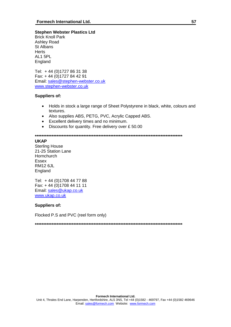## **Stephen Webster Plastics Ltd**

Brick Knoll Park Ashley Road St Albans **Herts** AL1 5PL England

Tel: + 44 (0)1727 86 31 38 Fax: + 44 (0)1727 84 42 91 Email: [sales@stephen-webster.co.uk](mailto:sales@stephen-webster.co.uk) [www.stephen-webster.co.uk](http://www.stephen-webster.co.uk/)

#### **Suppliers of:**

- Holds in stock a large range of Sheet Polystyrene in black, white, colours and textures.
- Also supplies ABS, PETG, PVC, Acrylic Capped ABS.
- Excellent delivery times and no minimum.
- Discounts for quantity. Free delivery over £ 50.00

**\*\*\*\*\*\*\*\*\*\*\*\*\*\*\*\*\*\*\*\*\*\*\*\*\*\*\*\*\*\*\*\*\*\*\*\*\*\*\*\*\*\*\*\*\*\*\*\*\*\*\*\*\*\*\*\*\*\*\*\*\*\*\*\*\*\*\*\*\*\*\*\*\*\*\*\*\*\*\*\*\*\*\*\*\*\*\*\*** 

#### **UKAP**

Sterling House 21-25 Station Lane **Hornchurch** Essex RM12 6JL England

Tel: + 44 (0)1708 44 77 88 Fax: + 44 (0)1708 44 11 11 Email: [sales@ukap.co.uk](mailto:sales@ukap.co.uk) [www.ukap.co.uk](http://www.ukap.co.uk/)

## **Suppliers of:**

Flocked P.S and PVC (reel form only)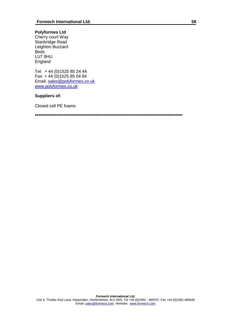## **Polyformes Ltd**

Cherry court Way Stanbridge Road Leighton Buzzard Beds LU7 8HU England

Tel: + 44 (0)1525 85 24 44 Fax: + 44 (0)1525 85 04 84 Email: [sales@polyformes.co.uk](mailto:sales@polyformes.co.uk) [www.polyformes.co.uk](http://www.polyformes.co.uk/)

## **Suppliers of:**

Closed cell PE foams.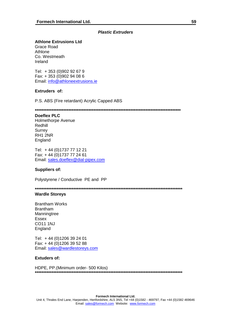## *Plastic Extruders*

## **Athlone Extrusions Ltd**

Grace Road Athlone Co. Westmeath Ireland

Tel: + 353 (0)902 92 67 9 Fax: + 353 (0)902 94 08 6 Email: [info@athloneextrusions.ie](mailto:info@athloneextrusions.ie)

#### **Extruders of:**

P.S. ABS (Fire retardant) Acrylic Capped ABS

**\*\*\*\*\*\*\*\*\*\*\*\*\*\*\*\*\*\*\*\*\*\*\*\*\*\*\*\*\*\*\*\*\*\*\*\*\*\*\*\*\*\*\*\*\*\*\*\*\*\*\*\*\*\*\*\*\*\*\*\*\*\*\*\*\*\*\*\*\*\*\*\*\*\*\*\*\*\*\*\*\*\*\*\*\*\*\*** 

## **Doeflex PLC**

Holmethorpe Avenue Redhill **Surrey** RH1 2NR England

Tel: + 44 (0)1737 77 12 21 Fax: + 44 (0)1737 77 24 61 Email: [sales.doeflex@dial-pipex.com](mailto:sales.doeflex@dial-pipex.com)

#### **Suppliers of:**

Polystyrene / Conductive PE and PP

**\*\*\*\*\*\*\*\*\*\*\*\*\*\*\*\*\*\*\*\*\*\*\*\*\*\*\*\*\*\*\*\*\*\*\*\*\*\*\*\*\*\*\*\*\*\*\*\*\*\*\*\*\*\*\*\*\*\*\*\*\*\*\*\*\*\*\*\*\*\*\*\*\*\*\*\*\*\*\*\*\*\*\*\*\*\*\*\***

## **Wardle Storeys**

Brantham Works Brantham Manningtree Essex CO11 1NJ England

Tel: + 44 (0)1206 39 24 01 Fax: + 44 (0)1206 39 52 88 Email: [sales@wardlestoreys.com](mailto:sales@wardlestoreys.com)

#### **Extuders of:**

HDPE, PP.(Minimum order- 500 Kilos) **\*\*\*\*\*\*\*\*\*\*\*\*\*\*\*\*\*\*\*\*\*\*\*\*\*\*\*\*\*\*\*\*\*\*\*\*\*\*\*\*\*\*\*\*\*\*\*\*\*\*\*\*\*\*\*\*\*\*\*\*\*\*\*\*\*\*\*\*\*\*\*\*\*\*\*\*\*\*\*\*\*\*\*\*\*\*\*\***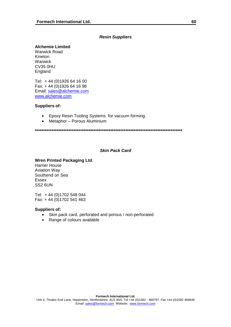## *Resin Suppliers*

## **Alchemie Limited**

Warwick Road Kineton Warwick CV35 0HU England

Tel: + 44 (0)1926 64 16 00 Fax: + 44 (0)1926 64 16 98 Email: [sales@alchemie.com](mailto:sales@alchemie.com) [www.alchemie.com](http://www.alchemie.com/)

## **Suppliers of:**

- Epoxy Resin Tooling Systems for vacuum forming.
- Metaphor Porous Aluminium

**\*\*\*\*\*\*\*\*\*\*\*\*\*\*\*\*\*\*\*\*\*\*\*\*\*\*\*\*\*\*\*\*\*\*\*\*\*\*\*\*\*\*\*\*\*\*\*\*\*\*\*\*\*\*\*\*\*\*\*\*\*\*\*\*\*\*\*\*\*\*\*\*\*\*\*\*\*\*\*\*\*\*\*\*\*\*\*\*** 

### *Skin Pack Card*

## **Wren Printed Packaging Ltd**.

Harrier House Aviation Way Southend on Sea Essex SS2 6UN

Tel: + 44 (0)1702 548 044 Fax: + 44 (0)1702 541 463

#### **Suppliers of:**

- Skin pack card, perforated and porous / non-perforated
- Range of colours available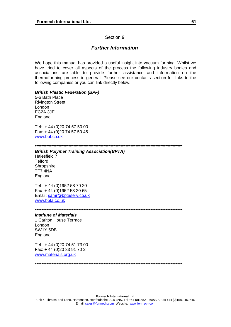## Section 9

## *Further Information*

<span id="page-60-0"></span>We hope this manual has provided a useful insight into vacuum forming. Whilst we have tried to cover all aspects of the process the following industry bodies and associations are able to provide further assistance and information on the thermoforming process in general. Please see our contacts section for links to the following companies or you can link directly below.

## *British Plastic Federation (BPF)*

5-6 Bath Place Rivington Street London EC2A 3JE England

Tel: + 44 (0)20 74 57 50 00 Fax: + 44 (0)20 74 57 50 45 [www.bpf.co.uk](http://www.bpf.co.uk/)

#### **\*\*\*\*\*\*\*\*\*\*\*\*\*\*\*\*\*\*\*\*\*\*\*\*\*\*\*\*\*\*\*\*\*\*\*\*\*\*\*\*\*\*\*\*\*\*\*\*\*\*\*\*\*\*\*\*\*\*\*\*\*\*\*\*\*\*\*\*\*\*\*\*\*\*\*\*\*\*\*\*\*\*\*\*\*\*\*\***

#### *British Polymer Training Association(BPTA)*

Halesfield 7 **Telford Shropshire** TF7 4NA England

Tel: + 44 (0)1952 58 70 20 Fax: + 44 (0)1952 58 20 65 Email: [samr@bptaserv.co.uk](mailto:samr@bptaserv.co.uk) [www.bpta.co.uk](http://www.bpta.co.uk/)

#### **\*\*\*\*\*\*\*\*\*\*\*\*\*\*\*\*\*\*\*\*\*\*\*\*\*\*\*\*\*\*\*\*\*\*\*\*\*\*\*\*\*\*\*\*\*\*\*\*\*\*\*\*\*\*\*\*\*\*\*\*\*\*\*\*\*\*\*\*\*\*\*\*\*\*\*\*\*\*\*\*\*\*\*\*\*\*\*\***

#### *Institute of Materials*

1 Carlton House Terrace London SW1Y 5DB England

Tel: + 44 (0)20 74 51 73 00 Fax: + 44 (0)20 83 91 70 2 [www.materials.org.uk](http://www.materials.org.uk/)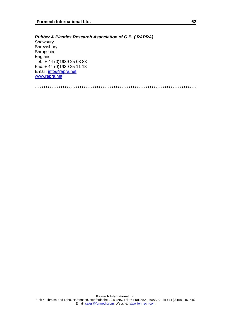## *Rubber & Plastics Research Association of G.B. ( RAPRA)*

Shawbury **Shrewsbury Shropshire** England Tel: + 44 (0)1939 25 03 83 Fax: + 44 (0)1939 25 11 18 Email: [info@rapra.net](mailto:info@rapra.net) [www.rapra.net](http://www.rapra.net/)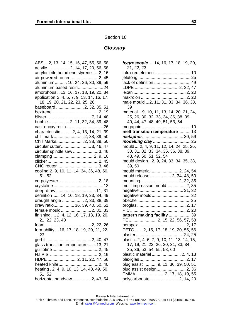#### Section 10

#### *Glossary*

<span id="page-62-0"></span>ABS... 2, 13, 14, 15, 16, 47, 55, 56, 58 acrylic .................. 2, 14, 17, 20, 56, 58 acrylonitrile butadiene styrene .....2, 16 air powered router .......................2, 45 aluminium.......... 10, 24, 26, 30, 39, 59 aluminium based resin.....................24 amorphous .. 13, 16, 17, 18, 19, 20, 34 application 2, 4, 5, 7, 9, 13, 14, 16, 17, 18, 19, 20, 21, 22, 23, 25, 26 baseboard .......................2, 32, 35, 51 bextrene ......................................2, 19 blister.....................................7, 14, 48 bubble ................. 2, 11, 32, 34, 39, 48 cast epoxy resin...............................26 characteristic ......... 2, 4, 13, 14, 21, 39 chill mark .........................2, 38, 39, 50 Chill Marks.......................2, 38, 39, 50 circular cutter.........................3, 46, 47 circular spindle saw .....................3, 46 clamping..................................2, 9, 10 clicker..........................................2, 45 CNC router ..................................3, 46 cooling 2, 9, 10, 11, 14, 34, 36, 48, 50, 51, 52 co-polyester.................................2, 18 crystaline .........................................13 deep-draw .................................11, 31 definition...... 14, 16, 18, 19, 33, 34, 49 draught angle ..................2, 33, 38, 39 draw ratio................. 36, 39, 40, 50, 51 female mould.........................2, 31, 33 finishing .... 2, 4, 12, 16, 17, 18, 19, 20, 21, 22, 23, 40 foam ......................................2, 22, 26 formability... 16, 17, 18, 19, 20, 21, 22, 23 gerbil .....................................2, 40, 47 glass transition temperature.......13, 21 guillotine ......................................2, 45 H.I.P.S.........................................2, 19 HDPE ........................ 2, 11, 22, 47, 58 heated knife.................................2, 40 heating . 2, 4, 9, 10, 13, 14, 48, 49, 50, 51, 52 horizontal bandsaw................2, 43, 54

| hygroscopic14, 16, 17, 18, 19, 20,<br>21, 22, 23 |
|--------------------------------------------------|
| infra-red element 10                             |
|                                                  |
| lack of definition  49                           |
|                                                  |
|                                                  |
|                                                  |
| male mould 2, 11, 31, 33, 34, 36, 38,            |
| 39                                               |
| material  9, 10, 11, 13, 14, 20, 21, 24,         |
| 25, 26, 30, 32, 33, 34, 36, 38, 39,              |
| 40, 44, 47, 48, 49, 51, 53, 54                   |
|                                                  |
| melt transition temperature 13                   |
| metaphor 30, 59                                  |
| modelling clay 25                                |
| mould  2, 4, 9, 11, 12, 14, 24, 25, 26,          |
| 30, 31, 32, 33, 34, 35, 36, 38, 39,              |
| 48, 49, 50, 51, 52, 54                           |
| mould design2, 9, 24, 33, 34, 35, 38,            |
| 39,50                                            |
| mould material 2, 24, 54                         |
| mould release 2, 34, 48, 50                      |
| mounting  2, 32, 35                              |
| multi impression mould 2, 35                     |
| negative  31, 32                                 |
| negative mould 32                                |
|                                                  |
|                                                  |
| pattern making facility  39                      |
|                                                  |
| PE  2, 15, 22, 56, 57, 58                        |
| PETG 2, 15, 17, 18, 19, 20, 55, 56               |
| plaster<br>24, 25                                |
| plastic2, 4, 6, 7, 9, 10, 11, 13, 14, 15,        |
| 17, 19, 21, 22, 26, 30, 31, 33, 34,              |
| 35, 36, 53, 54, 55, 58, 60                       |
| plastic material  2, 4, 13                       |
|                                                  |
| plug assist  9, 11, 36, 39, 50, 51               |
|                                                  |
| PMMA  2, 17, 18, 19, 55                          |
|                                                  |
|                                                  |

#### **Formech International Ltd.**

Unit 4, Thrales End Lane, Harpenden, Hertfordshire, AL5 3NS, Tel +44 (0)1582 - 469797, Fax +44 (0)1582 469646 Email: sales@formech.com Website: www.formech.com